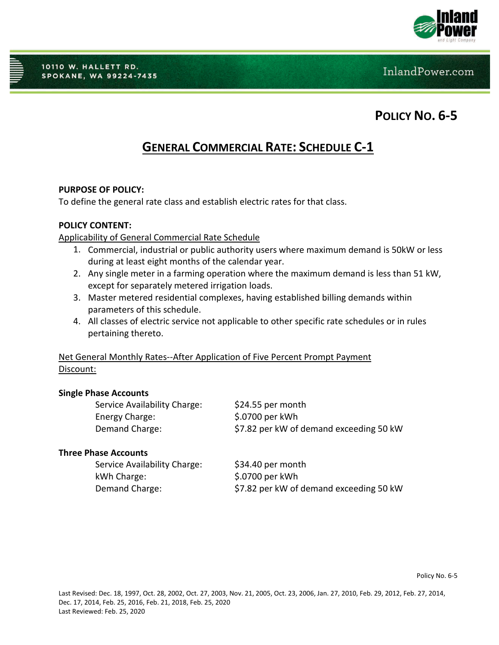

10110 W. HALLETT RD. **SPOKANE, WA 99224-7435** 

InlandPower.com

**POLICY NO. 6-5**

# **GENERAL COMMERCIAL RATE: SCHEDULE C-1**

#### **PURPOSE OF POLICY:**

To define the general rate class and establish electric rates for that class.

### **POLICY CONTENT:**

#### Applicability of General Commercial Rate Schedule

- 1. Commercial, industrial or public authority users where maximum demand is 50kW or less during at least eight months of the calendar year.
- 2. Any single meter in a farming operation where the maximum demand is less than 51 kW, except for separately metered irrigation loads.
- 3. Master metered residential complexes, having established billing demands within parameters of this schedule.
- 4. All classes of electric service not applicable to other specific rate schedules or in rules pertaining thereto.

## Net General Monthly Rates--After Application of Five Percent Prompt Payment Discount:

#### **Single Phase Accounts**

| Service Availability Charge: | $$24.55$ per month                      |
|------------------------------|-----------------------------------------|
| Energy Charge:               | \$.0700 per kWh                         |
| Demand Charge:               | \$7.82 per kW of demand exceeding 50 kW |

# **Three Phase Accounts**

| Service Availability Charge: | \$34.40 per month                       |
|------------------------------|-----------------------------------------|
| kWh Charge:                  | \$.0700 per kWh                         |
| Demand Charge:               | \$7.82 per kW of demand exceeding 50 kW |